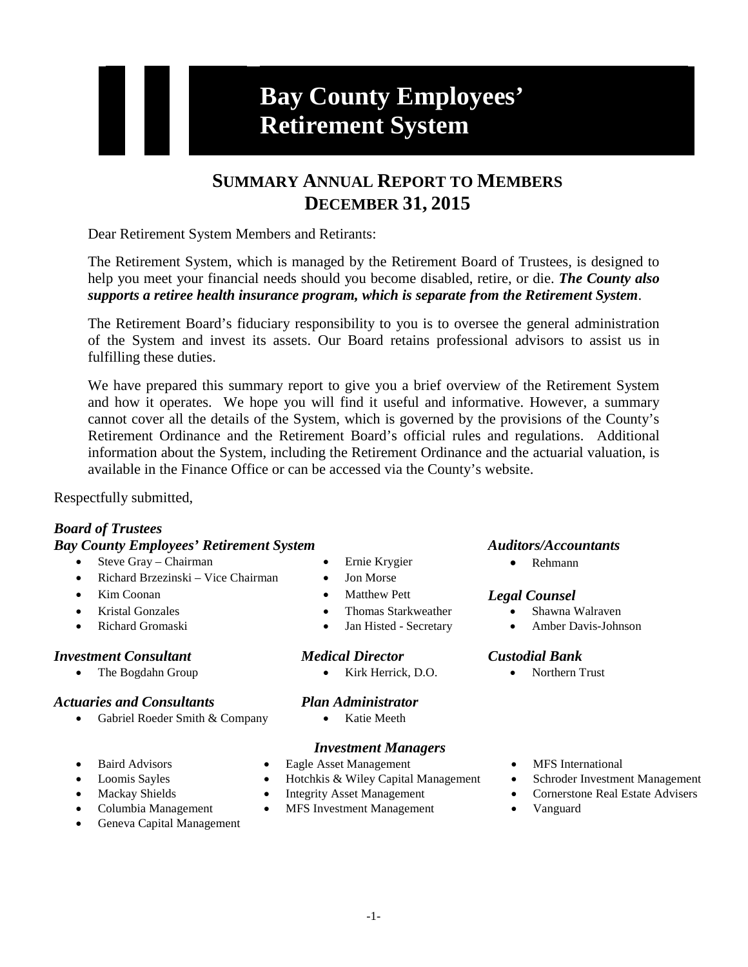# **Bay County Employees' Retirement System**

# **SUMMARY ANNUAL REPORT TO MEMBERS DECEMBER 31, 2015**

Dear Retirement System Members and Retirants:

The Retirement System, which is managed by the Retirement Board of Trustees, is designed to help you meet your financial needs should you become disabled, retire, or die. *The County also supports a retiree health insurance program, which is separate from the Retirement System*.

The Retirement Board's fiduciary responsibility to you is to oversee the general administration of the System and invest its assets. Our Board retains professional advisors to assist us in fulfilling these duties.

We have prepared this summary report to give you a brief overview of the Retirement System and how it operates. We hope you will find it useful and informative. However, a summary cannot cover all the details of the System, which is governed by the provisions of the County's Retirement Ordinance and the Retirement Board's official rules and regulations. Additional information about the System, including the Retirement Ordinance and the actuarial valuation, is available in the Finance Office or can be accessed via the County's website.

Respectfully submitted,

## *Board of Trustees*

### *Bay County Employees' Retirement System Auditors/Accountants*

- Steve Gray Chairman Ernie Krygier Rehmann
- Richard Brzezinski Vice Chairman Jon Morse
- 
- 
- 

## *Investment Consultant Medical Director Custodial Bank*

# *Actuaries and Consultants Plan Administrator*

- Gabriel Roeder Smith & Company Katie Meeth
- 
- 
- 
- 
- Geneva Capital Management
- 
- 
- 
- **Example 18 September 18 September 18 September 18 September 18 September 18 September 18 September 18 September 18 September 18 September 18 September 18 September 18 September 18 September 18 September 18 September 18 Se** 
	-

• The Bogdahn Group • Kirk Herrick, D.O. • Northern Trust

## *Investment Managers*

- Baird Advisors Eagle Asset Management MFS International
- Loomis Sayles Hotchkis & Wiley Capital Management Schroder Investment Management
	-
- Columbia Management MFS Investment Management Vanguard

- Kristal Gonzales Thomas Starkweather Shawna Walraven
- Richard Gromaski Jan Histed Secretary Amber Davis-Johnson

- 
- 
- 
- Mackay Shields Integrity Asset Management Cornerstone Real Estate Advisers
	-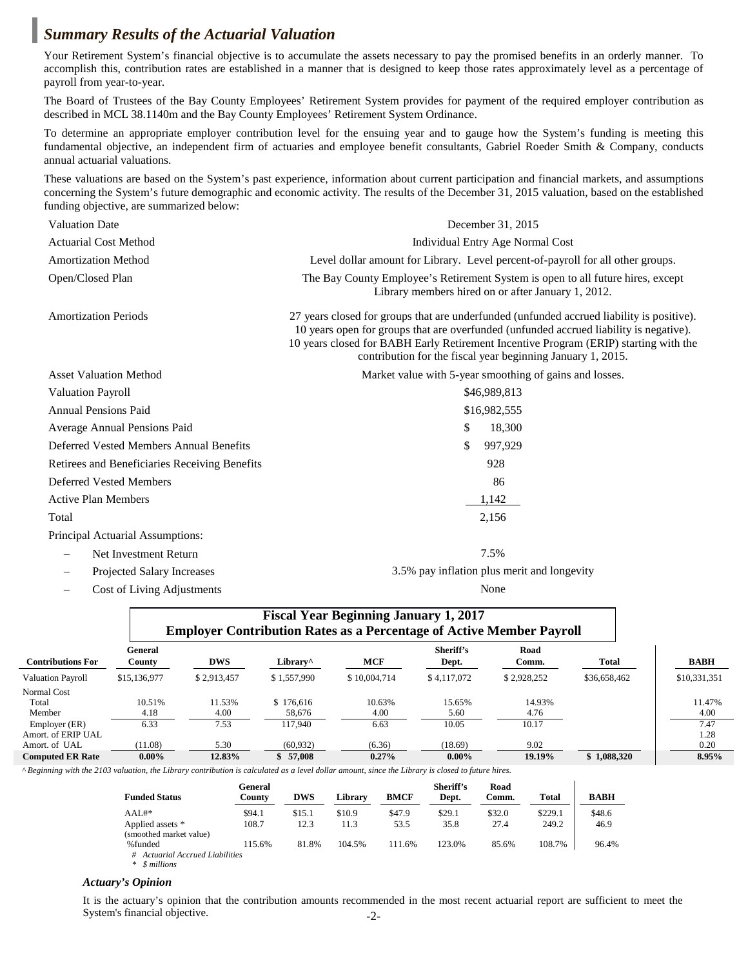## *Summary Results of the Actuarial Valuation*

Your Retirement System's financial objective is to accumulate the assets necessary to pay the promised benefits in an orderly manner. To accomplish this, contribution rates are established in a manner that is designed to keep those rates approximately level as a percentage of payroll from year-to-year.

The Board of Trustees of the Bay County Employees' Retirement System provides for payment of the required employer contribution as described in MCL 38.1140m and the Bay County Employees' Retirement System Ordinance.

To determine an appropriate employer contribution level for the ensuing year and to gauge how the System's funding is meeting this fundamental objective, an independent firm of actuaries and employee benefit consultants, Gabriel Roeder Smith & Company, conducts annual actuarial valuations.

These valuations are based on the System's past experience, information about current participation and financial markets, and assumptions concerning the System's future demographic and economic activity. The results of the December 31, 2015 valuation, based on the established funding objective, are summarized below:

| <b>Valuation Date</b>                         | December 31, 2015                                                                                                                                                                                                                                                                                                                          |                                                         |  |  |  |
|-----------------------------------------------|--------------------------------------------------------------------------------------------------------------------------------------------------------------------------------------------------------------------------------------------------------------------------------------------------------------------------------------------|---------------------------------------------------------|--|--|--|
| <b>Actuarial Cost Method</b>                  | Individual Entry Age Normal Cost                                                                                                                                                                                                                                                                                                           |                                                         |  |  |  |
| <b>Amortization Method</b>                    | Level dollar amount for Library. Level percent-of-payroll for all other groups.                                                                                                                                                                                                                                                            |                                                         |  |  |  |
| Open/Closed Plan                              | The Bay County Employee's Retirement System is open to all future hires, except<br>Library members hired on or after January 1, 2012.                                                                                                                                                                                                      |                                                         |  |  |  |
| <b>Amortization Periods</b>                   | 27 years closed for groups that are underfunded (unfunded accrued liability is positive).<br>10 years open for groups that are overfunded (unfunded accrued liability is negative).<br>10 years closed for BABH Early Retirement Incentive Program (ERIP) starting with the<br>contribution for the fiscal year beginning January 1, 2015. |                                                         |  |  |  |
| <b>Asset Valuation Method</b>                 |                                                                                                                                                                                                                                                                                                                                            | Market value with 5-year smoothing of gains and losses. |  |  |  |
| <b>Valuation Payroll</b>                      |                                                                                                                                                                                                                                                                                                                                            | \$46,989,813                                            |  |  |  |
| <b>Annual Pensions Paid</b>                   | \$16,982,555                                                                                                                                                                                                                                                                                                                               |                                                         |  |  |  |
| Average Annual Pensions Paid                  | S                                                                                                                                                                                                                                                                                                                                          | 18,300                                                  |  |  |  |
| Deferred Vested Members Annual Benefits       | \$.                                                                                                                                                                                                                                                                                                                                        | 997,929                                                 |  |  |  |
| Retirees and Beneficiaries Receiving Benefits |                                                                                                                                                                                                                                                                                                                                            | 928                                                     |  |  |  |
| <b>Deferred Vested Members</b>                |                                                                                                                                                                                                                                                                                                                                            | 86                                                      |  |  |  |
| <b>Active Plan Members</b>                    |                                                                                                                                                                                                                                                                                                                                            | 1,142                                                   |  |  |  |
| Total                                         |                                                                                                                                                                                                                                                                                                                                            | 2,156                                                   |  |  |  |
| Principal Actuarial Assumptions:              |                                                                                                                                                                                                                                                                                                                                            |                                                         |  |  |  |
| Net Investment Return                         |                                                                                                                                                                                                                                                                                                                                            | 7.5%                                                    |  |  |  |
| Projected Salary Increases                    |                                                                                                                                                                                                                                                                                                                                            | 3.5% pay inflation plus merit and longevity             |  |  |  |

− Cost of Living Adjustments None

|                          | <b>Fiscal Year Beginning January 1, 2017</b><br><b>Employer Contribution Rates as a Percentage of Active Member Payroll</b> |             |                      |              |                    |               |              |              |
|--------------------------|-----------------------------------------------------------------------------------------------------------------------------|-------------|----------------------|--------------|--------------------|---------------|--------------|--------------|
| <b>Contributions For</b> | General<br>County                                                                                                           | <b>DWS</b>  | Library <sup>^</sup> | <b>MCF</b>   | Sheriff's<br>Dept. | Road<br>Comm. | Total        | <b>BABH</b>  |
| <b>Valuation Payroll</b> | \$15,136,977                                                                                                                | \$2.913.457 | \$1,557,990          | \$10,004,714 | \$4,117,072        | \$2.928.252   | \$36,658,462 | \$10,331,351 |
| Normal Cost              |                                                                                                                             |             |                      |              |                    |               |              |              |
| Total                    | 10.51%                                                                                                                      | 11.53%      | \$176,616            | 10.63%       | 15.65%             | 14.93%        |              | 11.47%       |
| Member                   | 4.18                                                                                                                        | 4.00        | 58,676               | 4.00         | 5.60               | 4.76          |              | 4.00         |
| Employer (ER)            | 6.33                                                                                                                        | 7.53        | 117.940              | 6.63         | 10.05              | 10.17         |              | 7.47         |
| Amort. of ERIP UAL       |                                                                                                                             |             |                      |              |                    |               |              | 1.28         |
| Amort. of UAL            | (11.08)                                                                                                                     | 5.30        | (60, 932)            | (6.36)       | (18.69)            | 9.02          |              | 0.20         |
| <b>Computed ER Rate</b>  | $0.00\%$                                                                                                                    | 12.83%      | 57,008               | 0.27%        | $0.00\%$           | 19.19%        | \$1.088,320  | 8.95%        |

*^ Beginning with the 2103 valuation, the Library contribution is calculated as a level dollar amount, since the Library is closed to future hires.*

| <b>Funded Status</b>            | General<br>Countv | <b>DWS</b> | Library | <b>BMCF</b> | Sheriff's<br>Dept. | Road<br>Comm. | <b>Total</b> | <b>BABH</b> |
|---------------------------------|-------------------|------------|---------|-------------|--------------------|---------------|--------------|-------------|
| $AAL#$ *                        | \$94.1            | \$15.1     | \$10.9  | \$47.9      | \$29.1             | \$32.0        | \$229.1      | \$48.6      |
| Applied assets *                | 108.7             | 12.3       | 11.3    | 53.5        | 35.8               | 27.4          | 249.2        | 46.9        |
| (smoothed market value)         |                   |            |         |             |                    |               |              |             |
| %funded                         | 115.6%            | 81.8%      | 104.5%  | 111.6%      | 123.0%             | 85.6%         | 108.7%       | 96.4%       |
| # Actuarial Accrued Liabilities |                   |            |         |             |                    |               |              |             |
| * <i>\$</i> millions            |                   |            |         |             |                    |               |              |             |

*Actuary's Opinion*

-2- It is the actuary's opinion that the contribution amounts recommended in the most recent actuarial report are sufficient to meet the System's financial objective.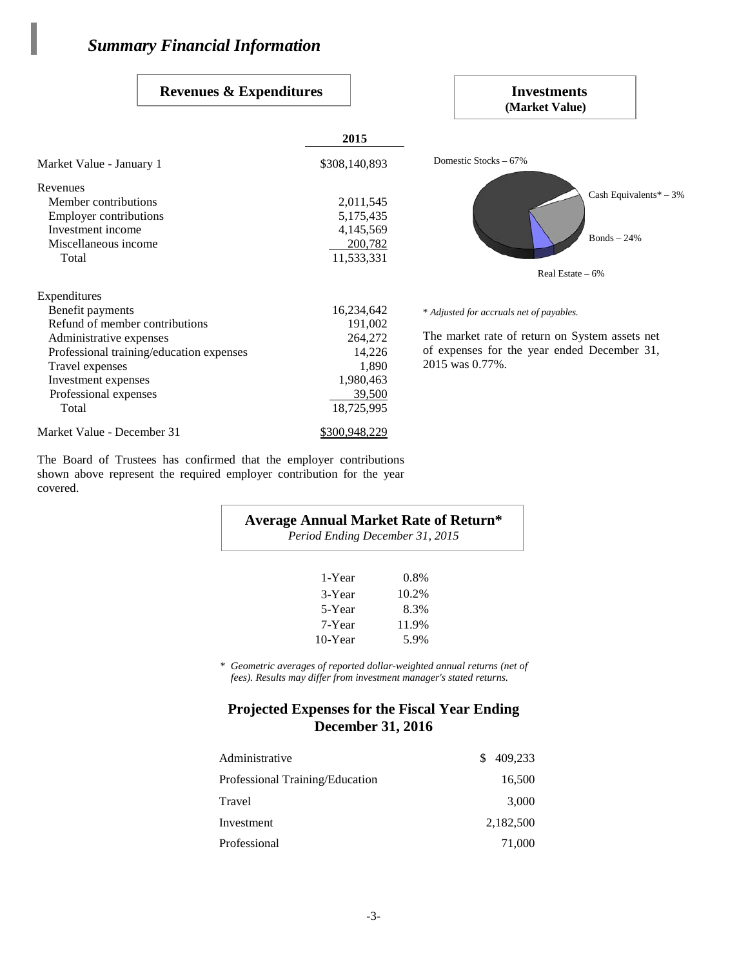Market Value - January 1

Revenues

Expenditures

### **Revenues & Expenditures**

| <b>Revenues &amp; Expenditures</b>       |               | Investments<br>(Market Value)                  |
|------------------------------------------|---------------|------------------------------------------------|
|                                          | 2015          |                                                |
| arket Value - January 1                  | \$308,140,893 | Domestic Stocks – 67%                          |
| evenues                                  |               |                                                |
| Member contributions                     | 2,011,545     | Cash Equivalents* $-3%$                        |
| <b>Employer contributions</b>            | 5,175,435     |                                                |
| Investment income                        | 4,145,569     |                                                |
| Miscellaneous income                     | 200,782       | $Bonds - 24%$                                  |
| Total                                    | 11,533,331    |                                                |
|                                          |               | Real Estate $-6%$                              |
| penditures                               |               |                                                |
| Benefit payments                         | 16,234,642    | * Adjusted for accruals net of payables.       |
| Refund of member contributions           | 191,002       |                                                |
| Administrative expenses                  | 264,272       | The market rate of return on System assets net |
| Professional training/education expenses | 14,226        | of expenses for the year ended December 31,    |
| Travel expenses                          | 1.890         | 2015 was 0.77%.                                |

The Board of Trustees has confirmed that the employer contributions shown above represent the required employer contribution for the year covered.

Travel expenses 1,890 Investment expenses 1,980,463 Professional expenses 29,500 Total 18,725,995

Market Value - December 31 \$300,948,229

### **Average Annual Market Rate of Return\***

*Period Ending December 31, 2015*

| 1-Year  | 0.8%  |
|---------|-------|
| 3-Year  | 10.2% |
| 5-Year  | 8.3%  |
| 7-Year  | 11.9% |
| 10-Year | 5.9%  |

*\* Geometric averages of reported dollar-weighted annual returns (net of fees). Results may differ from investment manager's stated returns.*

## **Projected Expenses for the Fiscal Year Ending December 31, 2016**

| Administrative                  | 409.233<br>\$. |
|---------------------------------|----------------|
| Professional Training/Education | 16,500         |
| Travel                          | 3,000          |
| Investment                      | 2,182,500      |
| Professional                    | 71,000         |